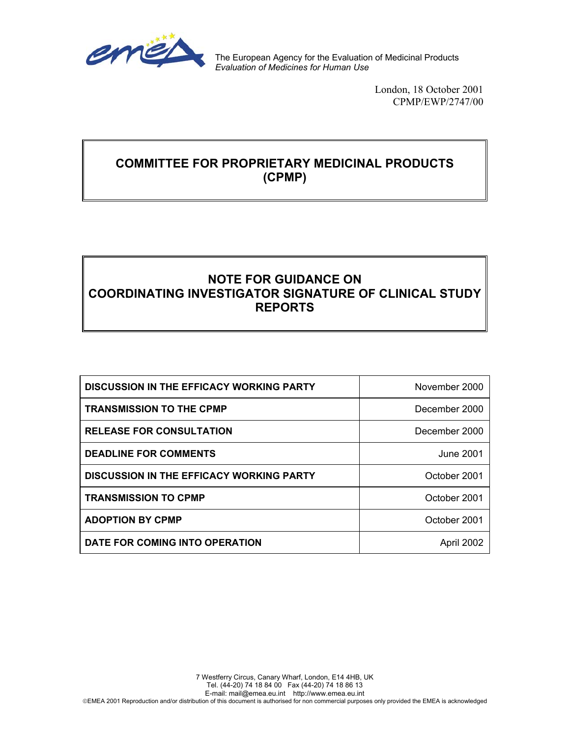

The European Agency for the Evaluation of Medicinal Products *Evaluation of Medicines for Human Use*

> London, 18 October 2001 CPMP/EWP/2747/00

## **COMMITTEE FOR PROPRIETARY MEDICINAL PRODUCTS (CPMP)**

# **NOTE FOR GUIDANCE ON COORDINATING INVESTIGATOR SIGNATURE OF CLINICAL STUDY REPORTS**

| <b>DISCUSSION IN THE EFFICACY WORKING PARTY</b> | November 2000 |
|-------------------------------------------------|---------------|
| <b>TRANSMISSION TO THE CPMP</b>                 | December 2000 |
| <b>RELEASE FOR CONSULTATION</b>                 | December 2000 |
| <b>DEADLINE FOR COMMENTS</b>                    | June 2001     |
| <b>DISCUSSION IN THE EFFICACY WORKING PARTY</b> | October 2001  |
| <b>TRANSMISSION TO CPMP</b>                     | October 2001  |
| <b>ADOPTION BY CPMP</b>                         | October 2001  |
| DATE FOR COMING INTO OPERATION                  | April 2002    |